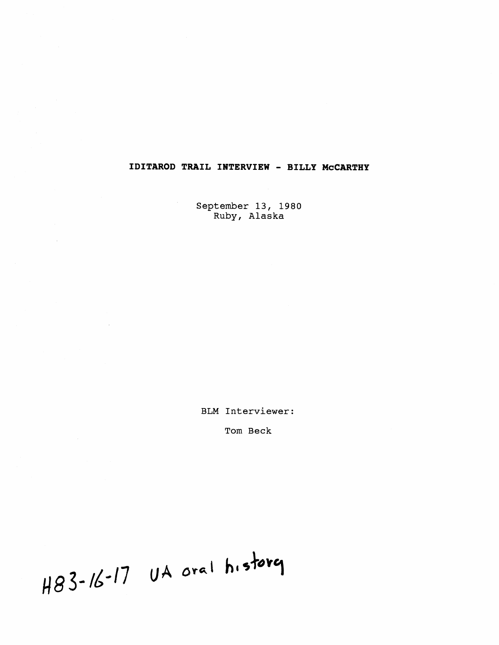## **IDITAROD TRAIL INTERVIEW** - **BILLY McCARTHY**

September 13, 1980 Ruby, Alaska

BLM Interviewer:

Tom Beck

H83-16-17 UA oral history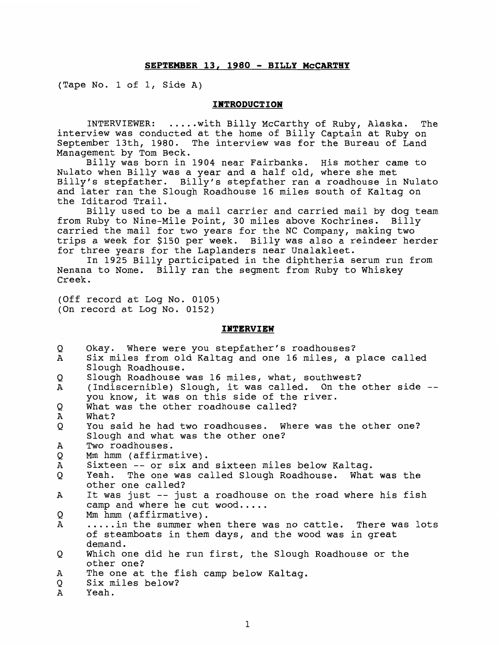## **SEPTEMBER 13, 1980** - **BILLY McCARTHY**

(Tape No. 1 of 1, Side A)

## **IWTRODUCTION**

INTERVIEWER: ..... with Billy McCarthy of Ruby, Alaska. The interview was conducted at the home of Billy Captain at Ruby on September 13th, 1980. The interview was for the Bureau of Land Management by Tom Beck.

Billy was born in 1904 near Fairbanks. His mother came to Nulato when Billy was a year and a half old, where she met Billy's stepfather. Billy's stepfather ran a roadhouse in Nulato and later ran the Slough Roadhouse 16 miles south of Kaltag on the Iditarod Trail.

Billy used to be a mail carrier and carried mail by dog team from Ruby to Nine-Mile Point, 30 miles above Kochrines. Billy carried the mail for two years for the **NC** Company, making two trips a week for \$150 per week. Billy was also a reindeer herder for three years for the Laplanders near Unalakleet.

In 1925 Billy participated in the diphtheria serum run from Nenana to Nome. Billy ran the segment from Ruby to Whiskey Creek.

(Off record at Log No. 0105) (On record at Log No. 0152)

## **INTERVIEW**

| Q<br>$\mathbf{A}$ | Okay. Where were you stepfather's roadhouses?<br>Six miles from old Kaltag and one 16 miles, a place called<br>Slough Roadhouse.                              |
|-------------------|---------------------------------------------------------------------------------------------------------------------------------------------------------------|
| Q<br>$\mathbf A$  | Slough Roadhouse was 16 miles, what, southwest?<br>(Indiscernible) Slough, it was called. On the other side --<br>you know, it was on this side of the river. |
| Q<br>Α            | What was the other roadhouse called?<br>What?                                                                                                                 |
| Q                 | You said he had two roadhouses. Where was the other one?<br>Slough and what was the other one?                                                                |
| A                 | Two roadhouses.                                                                                                                                               |
| Q                 | Mm hmm (affirmative).                                                                                                                                         |
| Α                 | Sixteen -- or six and sixteen miles below Kaltag.                                                                                                             |
| Q                 | Yeah. The one was called Slough Roadhouse. What was the<br>other one called?                                                                                  |
| $\mathbf{A}$      | It was just -- just a roadhouse on the road where his fish<br>camp and where he cut wood                                                                      |
| Q                 | Mm hmm (affirmative).                                                                                                                                         |
| Α                 | in the summer when there was no cattle. There was lots<br>of steamboats in them days, and the wood was in great<br>demand.                                    |
| Q                 | Which one did he run first, the Slough Roadhouse or the<br>other one?                                                                                         |
| Α<br>Q            | The one at the fish camp below Kaltaq.<br>Six miles below?                                                                                                    |
| $\mathbf{A}$      | Yeah.                                                                                                                                                         |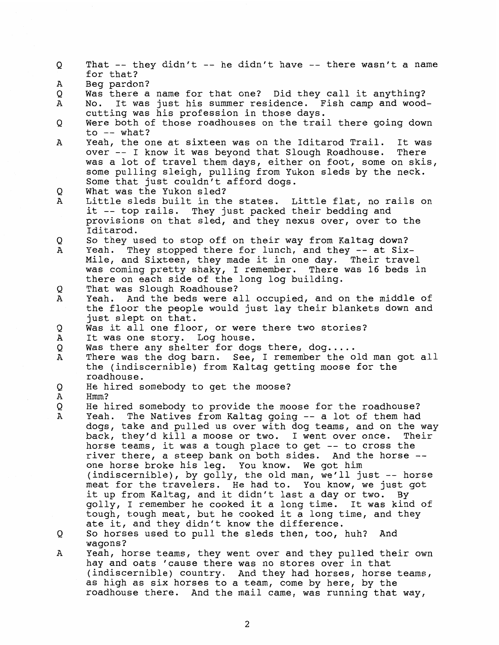for that? Beg pardon? A Was there a name for that one? Did they call it anything? Q  $\mathbf{A}$ No. It was just his summer residence. Fish camp and woodcutting was his profession in those days. Were both of those roadhouses on the trail there going down O to  $--$  what?  $\mathbf{A}$ Yeah, the one at sixteen was on the Iditarod Trail. It was over -- I know it was beyond that Slough Roadhouse. There was a lot of travel them days, either on foot, some on skis, some pulling sleigh, pulling from Yukon sleds by the neck. Some that just couldn't afford dogs. O What was the Yukon sled?  $\Delta$ Little sleds built in the states. Little flat, no rails on it -- top rails. They just packed their bedding and provisions on that sled, and they nexus over, over to the Iditarod. So they used to stop off on their way from Kaltag down? Q  $\overline{A}$ Yeah. They stopped there for lunch, and they -- at Six-Mile, and Sixteen, they made it in one day. Their travel was coming pretty shaky, I remember. There was 16 beds in there on each side of the long log building. Q That was Slough Roadhouse? Yeah. And the beds were all occupied, and on the middle of  $\mathbf{A}$ the floor the people would just lay their blankets down and just slept on that. Was it all one floor, or were there two stories? Q  $\mathbf{A}$ It was one story. Log house. Q Was there any shelter for dogs there, dog.....<br>There was the dog barn. See, I remember the old man got all A the (indiscernible) from Kaltag getting moose for the roadhouse.  $\circ$ He hired somebody to get the moose?  $\mathbf{A}$ Hmm?  $\circ$ He hired somebody to provide the moose for the roadhouse? Yeah. The Natives from Kaltag going -- a lot of them had  $\mathbf{A}$ dogs, take and pulled us over with dog teams, and on the way back, they'd kill a moose or two. I went over once. Their horse teams, it was a tough place to get -- to cross the

That  $-$  they didn't  $-$  he didn't have  $-$  there wasn't a name

Q

- river there, a steep bank on both sides. And the horse one horse broke his leg. You know. We got him (indiscernible), by golly, the old man, we'll just -- horse meat for the travelers. He had to. You know, we just got it up from Kaltag, and it didn't last a day or two. By golly, I remember he cooked it a long time. It was kind of tough, tough meat, but he cooked it a long time, and they ate it, and they didn't know the difference.
- Q So horses used to pull the sleds then, too, huh? And wagons?
- $\mathbf{A}$ Yeah, horse teams, they went over and they pulled their own hay and oats 'cause there was no stores over in that (indiscernible) country. And they had horses, horse teams, as high as six horses to a team, come by here, by the roadhouse there. And the mail came, was running that way,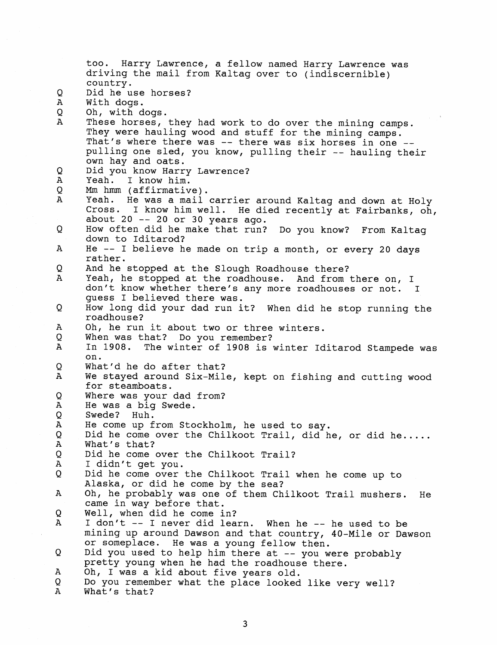too. Harry Lawrence, a fellow named Harry Lawrence was driving the mail from Kaltag over to (indiscernible) country.  $\circ$ Did he use horses? A With dogs. Q Oh, with dogs.  $\mathbf{A}$ These horses, they had work to do over the mining camps. They were hauling wood and stuff for the mining camps. That's where there was -- there was six horses in one -- pulling one sled, you know, pulling their -- hauling their own hay and oats. Q Did you know Harry Lawrence? Α Yeah. I know him. O **Mm** hmm (affirmative). A Yeah. He was a mail carrier around Kaltag and down at Holy Cross. I know him well. He died recently at Fairbanks, oh, about  $20 - -20$  or  $30$  years ago. How often did he make that run? Do you know? From Kaltag Q down to Iditarod? He -- I believe he made on trip a month, or every 20 days  $\mathbf{A}$ rather. Q And he stopped at the Slough Roadhouse there? Yeah, he stopped at the roadhouse. And from there on, I  $\Delta$ don't know whether there's any more roadhouses or not. I guess I believed there was. Q How long did your dad run it? When did he stop running the roadhouse? Α Oh, he run it about two or three winters. When was that? Do you remember? Q A In 1908. The winter of 1908 is winter Iditarod Stampede was on. O What'd he do after that? Α We stayed around Six-Mile, kept on fishing and cutting wood for steamboats. Q Where was your dad from?  $\mathbf{A}$ He was a big Swede. Q Swede? Huh. He come up from Stockholm, he used to say.  $\mathbf{A}$ Q Did he come over the Chilkoot Trail, did he, or did he.....  $\mathbf{A}$ What's that? Q Did he come over the Chilkoot Trail?  $\overline{A}$ I didn't get you. Did he come over the Chilkoot Trail when he come up to Q Alaska, or did he come by the sea?  $\overline{A}$ Oh, he probably was one of them Chilkoot Trail mushers. He came in way before that. Q Well, when did he come in?  $\mathbf{A}$ I don't -- I never did learn. When he -- he used to be mining up around Dawson and that country, 40-Mile or Dawson or someplace. He was a young fellow then. Q Did you used to help him there at -- you were probably pretty young when he had the roadhouse there. A Oh, I was a kid about five years old. Do you remember what the place looked like very well? Q A What's that?